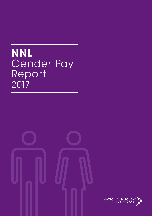# **NNL** Gender Pay Report 2017

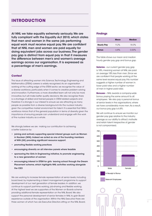## **INTRODUCTION**

At NNL we take equality extremely seriously. We are fully compliant with the Equality Act 2010, which states that men and women in the same job performing equal work must receive equal pay. We are confident that at NNL men and women are paid equally for doing equivalent jobs across our business. The gender pay gap is distinct from equal pay in that it measures the difference between men's and women's average earnings across our organisation. It is expressed as a percentage of men's earnings.

#### **Context**

The issue of attracting women into Science, Technology, Engineering and Mathematics (STEM) careers is widely recognised. As an organisation working at the cutting edge of the STEM sector, we recognise the value of a diverse workforce, particularly when it comes to creative problem solving and innovation. Furthermore, a more diversified team will not only be more innovative, but will make better quality decisions. We also recognise there is a shortage of skilled and trained people in STEM related subjects and therefore it is strongly in our interest to ensure we are attracting as many people as possible from a diverse background into the nuclear industry given the competitive market environment for talent. It is essential that NNL's workforce mirrors that of the general population in terms of diversity given the importance of ensuring people can understand and engage with the work of the nuclear industry as a whole.

We strongly believe we are making our contribution to achieving a better balance by:

- joining and actively supporting special interest groups such as Women in Nuclear (WiN). Indeed we acted as one of the founding members of WiN (UK) providing significant resource support.
- promoting flexible working practices
- encouraging diversity on all interview panels where feasible
- sponsoring the Girls In Engineering initiative, to promote engineering to a new generation of women
- encouraging interest in STEM for girls leaving school through the Dream Placement scheme, which highlights NNL activities working alongside the CEO

We are working to increase female representation at senior levels, including board level, by implementing a talent management programme to support development of our next generation of female leaders. In addition, we continue to support part-time working, job-sharing and flexible working. At the highest level we are supporters of the Women on Boards scheme providing additional female representation on the NNL Board. We also support the personal development of senior females in NNL to gain Board experience outside of the organisation. Within the NNL Executive there are three women of which two are Executive Directors sitting on the NNL Board.

#### **Findings**

|                   | <b>Mean</b> | <b>Median</b> |
|-------------------|-------------|---------------|
| <b>Hourly Pay</b> | 9.2%        | 18.0%         |
| <b>Bonus</b>      | 6.8%        | $0.00\%$      |

The table shows our mean and median hourly gender pay gap and bonus gap.

**Salaries** - our current gender pay gap is 18%, meaning women at NNL are paid on average 18% less than men. Since we are confident that people working at the same level receive equal pay, this number suggests a higher number of women in lower paid roles and a higher number of men in higher paid roles.

**Bonuses** – NNL awards a company-wide bonus, paying the same amount to all employees. We also pay a personal bonus at senior levels in the organisations, where we have considerably more men. As a result, our bonus pay gap is 6.8%.

We will continue to ensure we monitor our gender pay gap relative to the industry average so our ability to attract, motivate and retain talent irrespective of gender is not compromised.

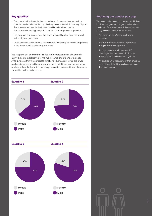### **Pay quartiles**

- The charts below illustrate the proportions of men and women in four quartile pay bands, created by dividing the workforce into four equal parts. Quartile one represents the lowest paid bands, while quartile four represents the highest paid quarter of our employee population.
- The purpose is to assess how the levels of equality differ from the lowest to the highest paid roles.
- These quartiles show that we have a larger weighting of female employees in the lower quartile of our organisation

This supports our analysis that it's the under-representation of women in highly skilled/paid roles that is the main source of our gender pay gap. At NNL, roles within the corporate functions, where salary levels are lower, are heavily represented by women. Men tend to fulfil more of our technical and operational roles which have higher salaries plus additional allowances for working in the active areas.



#### **Reducing our gender pay gap**

We have participated in a series of initiatives to close our gender pay gap and address the issue of under-representation of women in highly skilled roles. These include:

- Participation on Women on Boards scheme
- Engagement with schools to progress the girls into STEM agenda
- Supporting Women in Nuclear UK at all organisational levels, including the attraction and retention agenda
- An approach to recruitment that enables us to attract talent from a broader base than just nuclear